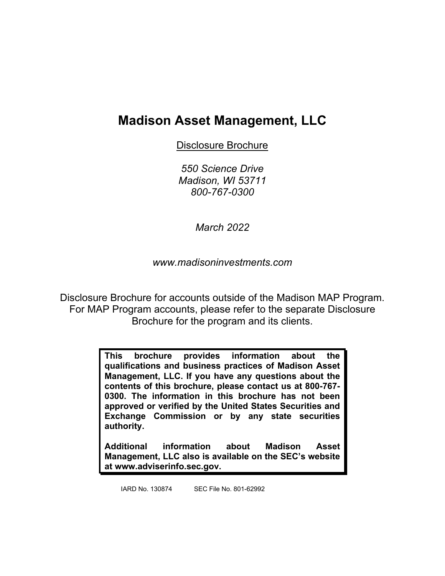# **Madison Asset Management, LLC**

Disclosure Brochure

*550 Science Drive Madison, WI 53711 800-767-0300*

*March 2022*

*www.madisoninvestments.com*

Disclosure Brochure for accounts outside of the Madison MAP Program. For MAP Program accounts, please refer to the separate Disclosure Brochure for the program and its clients.

> **This brochure provides information about the qualifications and business practices of Madison Asset Management, LLC. If you have any questions about the contents of this brochure, please contact us at 800-767- 0300. The information in this brochure has not been approved or verified by the United States Securities and Exchange Commission or by any state securities authority.**

> **Additional information about Madison Asset Management, LLC also is available on the SEC's website at www.adviserinfo.sec.gov.**

IARD No. 130874 SEC File No. 801-62992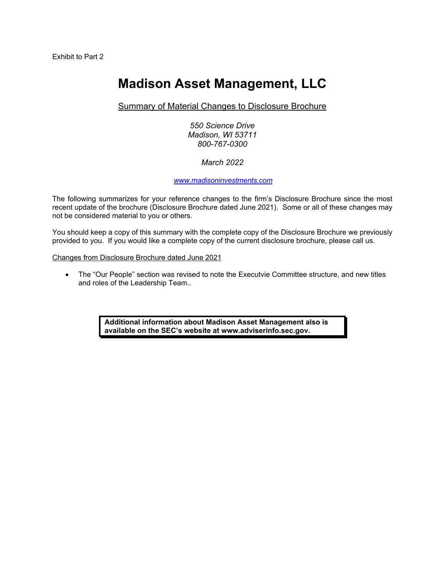# **Madison Asset Management, LLC**

### Summary of Material Changes to Disclosure Brochure

*550 Science Drive Madison, WI 53711 800-767-0300*

### *March 2022*

#### *[www.madisoninvestments.com](http://www.madisoninvestments.com/)*

The following summarizes for your reference changes to the firm's Disclosure Brochure since the most recent update of the brochure (Disclosure Brochure dated June 2021). Some or all of these changes may not be considered material to you or others.

You should keep a copy of this summary with the complete copy of the Disclosure Brochure we previously provided to you. If you would like a complete copy of the current disclosure brochure, please call us.

Changes from Disclosure Brochure dated June 2021

• The "Our People" section was revised to note the Executvie Committee structure, and new titles and roles of the Leadership Team..

> **Additional information about Madison Asset Management also is available on the SEC's website at www.adviserinfo.sec.gov.**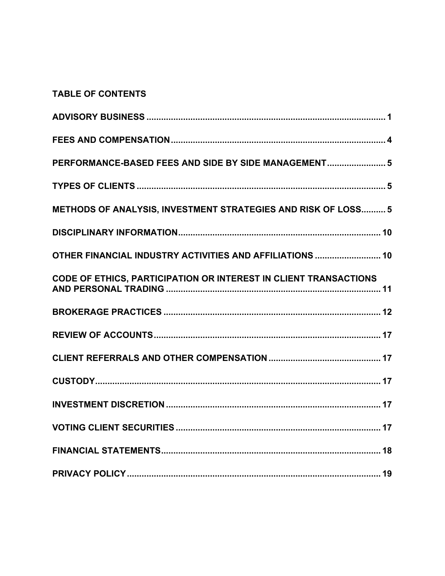### **TABLE OF CONTENTS**

| PERFORMANCE-BASED FEES AND SIDE BY SIDE MANAGEMENT 5             |
|------------------------------------------------------------------|
|                                                                  |
| METHODS OF ANALYSIS, INVESTMENT STRATEGIES AND RISK OF LOSS 5    |
|                                                                  |
| OTHER FINANCIAL INDUSTRY ACTIVITIES AND AFFILIATIONS  10         |
| CODE OF ETHICS, PARTICIPATION OR INTEREST IN CLIENT TRANSACTIONS |
|                                                                  |
|                                                                  |
|                                                                  |
|                                                                  |
|                                                                  |
|                                                                  |
|                                                                  |
|                                                                  |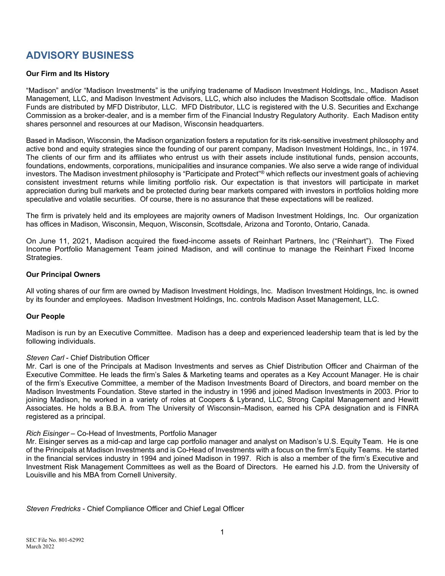## **ADVISORY BUSINESS**

### **Our Firm and Its History**

"Madison" and/or "Madison Investments" is the unifying tradename of Madison Investment Holdings, Inc., Madison Asset Management, LLC, and Madison Investment Advisors, LLC, which also includes the Madison Scottsdale office. Madison Funds are distributed by MFD Distributor, LLC. MFD Distributor, LLC is registered with the U.S. Securities and Exchange Commission as a broker-dealer, and is a member firm of the Financial Industry Regulatory Authority. Each Madison entity shares personnel and resources at our Madison, Wisconsin headquarters.

Based in Madison, Wisconsin, the Madison organization fosters a reputation for its risk-sensitive investment philosophy and active bond and equity strategies since the founding of our parent company, Madison Investment Holdings, Inc., in 1974. The clients of our firm and its affiliates who entrust us with their assets include institutional funds, pension accounts, foundations, endowments, corporations, municipalities and insurance companies. We also serve a wide range of individual investors. The Madison investment philosophy is "Participate and Protect"<sup>®</sup> which reflects our investment goals of achieving consistent investment returns while limiting portfolio risk. Our expectation is that investors will participate in market appreciation during bull markets and be protected during bear markets compared with investors in portfolios holding more speculative and volatile securities. Of course, there is no assurance that these expectations will be realized.

The firm is privately held and its employees are majority owners of Madison Investment Holdings, Inc. Our organization has offices in Madison, Wisconsin, Mequon, Wisconsin, Scottsdale, Arizona and Toronto, Ontario, Canada.

On June 11, 2021, Madison acquired the fixed-income assets of Reinhart Partners, Inc ("Reinhart"). The Fixed Income Portfolio Management Team joined Madison, and will continue to manage the Reinhart Fixed Income Strategies.

### **Our Principal Owners**

All voting shares of our firm are owned by Madison Investment Holdings, Inc. Madison Investment Holdings, Inc. is owned by its founder and employees. Madison Investment Holdings, Inc. controls Madison Asset Management, LLC.

### **Our People**

Madison is run by an Executive Committee. Madison has a deep and experienced leadership team that is led by the following individuals.

### *Steven Carl* - Chief Distribution Officer

Mr. Carl is one of the Principals at Madison Investments and serves as Chief Distribution Officer and Chairman of the Executive Committee. He leads the firm's Sales & Marketing teams and operates as a Key Account Manager. He is chair of the firm's Executive Committee, a member of the Madison Investments Board of Directors, and board member on the Madison Investments Foundation. Steve started in the industry in 1996 and joined Madison Investments in 2003. Prior to joining Madison, he worked in a variety of roles at Coopers & Lybrand, LLC, Strong Capital Management and Hewitt Associates. He holds a B.B.A. from The University of Wisconsin–Madison, earned his CPA designation and is FINRA registered as a principal.

### *Rich Eisinger* – Co-Head of Investments, Portfolio Manager

Mr. Eisinger serves as a mid-cap and large cap portfolio manager and analyst on Madison's U.S. Equity Team. He is one of the Principals at Madison Investments and is Co-Head of Investments with a focus on the firm's Equity Teams. He started in the financial services industry in 1994 and joined Madison in 1997. Rich is also a member of the firm's Executive and Investment Risk Management Committees as well as the Board of Directors. He earned his J.D. from the University of Louisville and his MBA from Cornell University.

*Steven Fredricks* - Chief Compliance Officer and Chief Legal Officer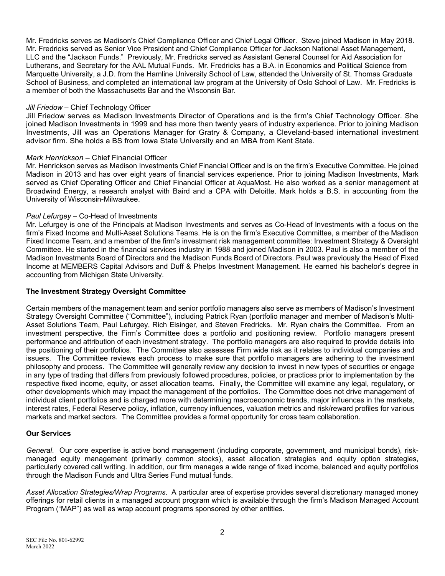Mr. Fredricks serves as Madison's Chief Compliance Officer and Chief Legal Officer. Steve joined Madison in May 2018. Mr. Fredricks served as Senior Vice President and Chief Compliance Officer for Jackson National Asset Management, LLC and the "Jackson Funds." Previously, Mr. Fredricks served as Assistant General Counsel for Aid Association for Lutherans, and Secretary for the AAL Mutual Funds. Mr. Fredricks has a B.A. in Economics and Political Science from Marquette University, a J.D. from the Hamline University School of Law, attended the University of St. Thomas Graduate School of Business, and completed an international law program at the University of Oslo School of Law. Mr. Fredricks is a member of both the Massachusetts Bar and the Wisconsin Bar.

### *Jill Friedow* – Chief Technology Officer

Jill Friedow serves as Madison Investments Director of Operations and is the firm's Chief Technology Officer. She joined Madison Investments in 1999 and has more than twenty years of industry experience. Prior to joining Madison Investments, Jill was an Operations Manager for Gratry & Company, a Cleveland-based international investment advisor firm. She holds a BS from Iowa State University and an MBA from Kent State.

#### *Mark Henrickson* – Chief Financial Officer

Mr. Henrickson serves as Madison Investments Chief Financial Officer and is on the firm's Executive Committee. He joined Madison in 2013 and has over eight years of financial services experience. Prior to joining Madison Investments, Mark served as Chief Operating Officer and Chief Financial Officer at AquaMost. He also worked as a senior management at Broadwind Energy, a research analyst with Baird and a CPA with Deloitte. Mark holds a B.S. in accounting from the University of Wisconsin-Milwaukee.

#### *Paul Lefurgey* – Co-Head of Investments

Mr. Lefurgey is one of the Principals at Madison Investments and serves as Co-Head of Investments with a focus on the firm's Fixed Income and Multi-Asset Solutions Teams. He is on the firm's Executive Committee, a member of the Madison Fixed Income Team, and a member of the firm's investment risk management committee: Investment Strategy & Oversight Committee. He started in the financial services industry in 1988 and joined Madison in 2003. Paul is also a member of the Madison Investments Board of Directors and the Madison Funds Board of Directors. Paul was previously the Head of Fixed Income at MEMBERS Capital Advisors and Duff & Phelps Investment Management. He earned his bachelor's degree in accounting from Michigan State University.

### **The Investment Strategy Oversight Committee**

Certain members of the management team and senior portfolio managers also serve as members of Madison's Investment Strategy Oversight Committee ("Committee"), including Patrick Ryan (portfolio manager and member of Madison's Multi-Asset Solutions Team, Paul Lefurgey, Rich Eisinger, and Steven Fredricks. Mr. Ryan chairs the Committee. From an investment perspective, the Firm's Committee does a portfolio and positioning review. Portfolio managers present performance and attribution of each investment strategy. The portfolio managers are also required to provide details into the positioning of their portfolios. The Committee also assesses Firm wide risk as it relates to individual companies and issuers. The Committee reviews each process to make sure that portfolio managers are adhering to the investment philosophy and process. The Committee will generally review any decision to invest in new types of securities or engage in any type of trading that differs from previously followed procedures, policies, or practices prior to implementation by the respective fixed income, equity, or asset allocation teams. Finally, the Committee will examine any legal, regulatory, or other developments which may impact the management of the portfolios. The Committee does not drive management of individual client portfolios and is charged more with determining macroeconomic trends, major influences in the markets, interest rates, Federal Reserve policy, inflation, currency influences, valuation metrics and risk/reward profiles for various markets and market sectors. The Committee provides a formal opportunity for cross team collaboration.

#### **Our Services**

*General*. Our core expertise is active bond management (including corporate, government, and municipal bonds), riskmanaged equity management (primarily common stocks), asset allocation strategies and equity option strategies, particularly covered call writing. In addition, our firm manages a wide range of fixed income, balanced and equity portfolios through the Madison Funds and Ultra Series Fund mutual funds.

*Asset Allocation Strategies/Wrap Programs*. A particular area of expertise provides several discretionary managed money offerings for retail clients in a managed account program which is available through the firm's Madison Managed Account Program ("MAP") as well as wrap account programs sponsored by other entities.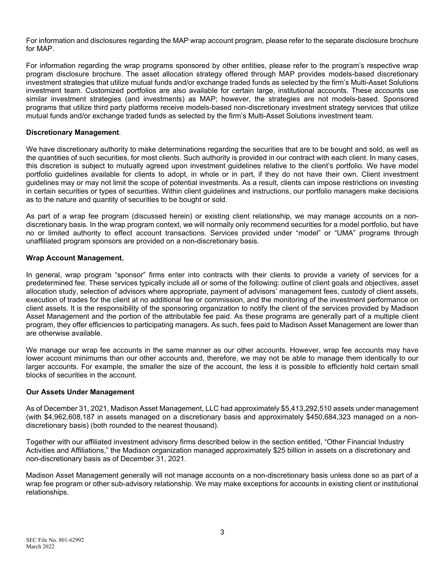For information and disclosures regarding the MAP wrap account program, please refer to the separate disclosure brochure for MAP.

For information regarding the wrap programs sponsored by other entities, please refer to the program's respective wrap program disclosure brochure. The asset allocation strategy offered through MAP provides models-based discretionary investment strategies that utilize mutual funds and/or exchange traded funds as selected by the firm's Multi-Asset Solutions investment team. Customized portfolios are also available for certain large, institutional accounts. These accounts use similar investment strategies (and investments) as MAP; however, the strategies are not models-based. Sponsored programs that utilize third party platforms receive models-based non-discretionary investment strategy services that utilize mutual funds and/or exchange traded funds as selected by the firm's Multi-Asset Solutions investment team.

#### **Discretionary Management***.*

We have discretionary authority to make determinations regarding the securities that are to be bought and sold, as well as the quantities of such securities, for most clients. Such authority is provided in our contract with each client. In many cases, this discretion is subject to mutually agreed upon investment guidelines relative to the client's portfolio. We have model portfolio guidelines available for clients to adopt, in whole or in part, if they do not have their own. Client investment guidelines may or may not limit the scope of potential investments. As a result, clients can impose restrictions on investing in certain securities or types of securities. Within client guidelines and instructions, our portfolio managers make decisions as to the nature and quantity of securities to be bought or sold.

As part of a wrap fee program (discussed herein) or existing client relationship, we may manage accounts on a nondiscretionary basis. In the wrap program context, we will normally only recommend securities for a model portfolio, but have no or limited authority to effect account transactions. Services provided under "model" or "UMA" programs through unaffiliated program sponsors are provided on a non-discretionary basis.

#### **Wrap Account Management.**

In general, wrap program "sponsor" firms enter into contracts with their clients to provide a variety of services for a predetermined fee. These services typically include all or some of the following: outline of client goals and objectives, asset allocation study, selection of advisors where appropriate, payment of advisors' management fees, custody of client assets, execution of trades for the client at no additional fee or commission, and the monitoring of the investment performance on client assets. It is the responsibility of the sponsoring organization to notify the client of the services provided by Madison Asset Management and the portion of the attributable fee paid. As these programs are generally part of a multiple client program, they offer efficiencies to participating managers. As such, fees paid to Madison Asset Management are lower than are otherwise available.

We manage our wrap fee accounts in the same manner as our other accounts. However, wrap fee accounts may have lower account minimums than our other accounts and, therefore, we may not be able to manage them identically to our larger accounts. For example, the smaller the size of the account, the less it is possible to efficiently hold certain small blocks of securities in the account.

#### **Our Assets Under Management**

As of December 31, 2021, Madison Asset Management, LLC had approximately \$5,413,292,510 assets under management (with \$4,962,608,187 in assets managed on a discretionary basis and approximately \$450,684,323 managed on a nondiscretionary basis) (both rounded to the nearest thousand).

Together with our affiliated investment advisory firms described below in the section entitled, "Other Financial Industry Activities and Affiliations," the Madison organization managed approximately \$25 billion in assets on a discretionary and non-discretionary basis as of December 31, 2021.

Madison Asset Management generally will not manage accounts on a non-discretionary basis unless done so as part of a wrap fee program or other sub-advisory relationship. We may make exceptions for accounts in existing client or institutional relationships.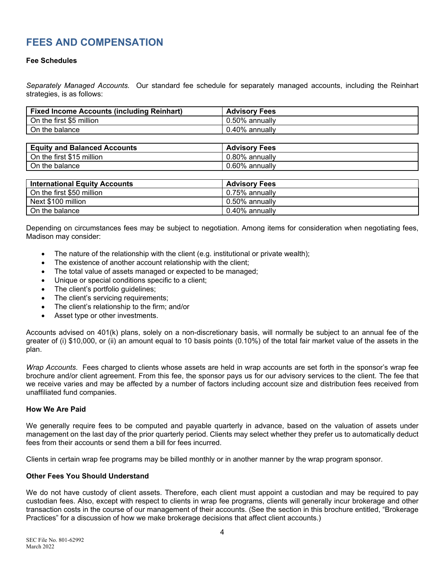### **FEES AND COMPENSATION**

### **Fee Schedules**

*Separately Managed Accounts.* Our standard fee schedule for separately managed accounts, including the Reinhart strategies, is as follows:

| <b>Fixed Income Accounts (including Reinhart)</b> | <b>Advisory Fees</b> |
|---------------------------------------------------|----------------------|
| On the first \$5 million                          | 0.50% annually       |
| On the balance                                    | 0.40% annually       |

| <b>Equity and Balanced Accounts</b> | <b>Advisory Fees</b> |
|-------------------------------------|----------------------|
| On the first \$15 million           | 0.80% annually       |
| On the balance                      | 0.60% annually       |

| <b>International Equity Accounts</b> | <b>Advisory Fees</b>  |
|--------------------------------------|-----------------------|
| On the first \$50 million            | $\mid$ 0.75% annually |
| Next \$100 million                   | l 0.50% annuallv      |
| On the balance                       | 0.40% annually        |

Depending on circumstances fees may be subject to negotiation. Among items for consideration when negotiating fees, Madison may consider:

- The nature of the relationship with the client (e.g. institutional or private wealth);
- The existence of another account relationship with the client;
- The total value of assets managed or expected to be managed;
- Unique or special conditions specific to a client;
- The client's portfolio guidelines;
- The client's servicing requirements;
- The client's relationship to the firm; and/or
- Asset type or other investments.

Accounts advised on 401(k) plans, solely on a non-discretionary basis, will normally be subject to an annual fee of the greater of (i) \$10,000, or (ii) an amount equal to 10 basis points (0.10%) of the total fair market value of the assets in the plan.

*Wrap Accounts*. Fees charged to clients whose assets are held in wrap accounts are set forth in the sponsor's wrap fee brochure and/or client agreement. From this fee, the sponsor pays us for our advisory services to the client. The fee that we receive varies and may be affected by a number of factors including account size and distribution fees received from unaffiliated fund companies.

#### **How We Are Paid**

We generally require fees to be computed and payable quarterly in advance, based on the valuation of assets under management on the last day of the prior quarterly period. Clients may select whether they prefer us to automatically deduct fees from their accounts or send them a bill for fees incurred.

Clients in certain wrap fee programs may be billed monthly or in another manner by the wrap program sponsor.

#### **Other Fees You Should Understand**

We do not have custody of client assets. Therefore, each client must appoint a custodian and may be required to pay custodian fees. Also, except with respect to clients in wrap fee programs, clients will generally incur brokerage and other transaction costs in the course of our management of their accounts. (See the section in this brochure entitled, "Brokerage Practices" for a discussion of how we make brokerage decisions that affect client accounts.)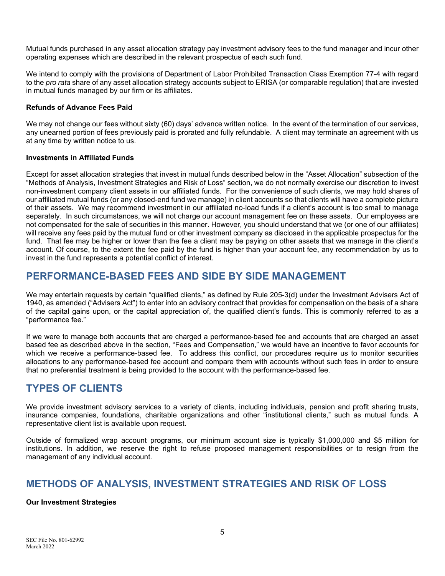Mutual funds purchased in any asset allocation strategy pay investment advisory fees to the fund manager and incur other operating expenses which are described in the relevant prospectus of each such fund.

We intend to comply with the provisions of Department of Labor Prohibited Transaction Class Exemption 77-4 with regard to the *pro rata* share of any asset allocation strategy accounts subject to ERISA (or comparable regulation) that are invested in mutual funds managed by our firm or its affiliates.

### **Refunds of Advance Fees Paid**

We may not change our fees without sixty (60) days' advance written notice. In the event of the termination of our services, any unearned portion of fees previously paid is prorated and fully refundable. A client may terminate an agreement with us at any time by written notice to us.

#### **Investments in Affiliated Funds**

Except for asset allocation strategies that invest in mutual funds described below in the "Asset Allocation" subsection of the "Methods of Analysis, Investment Strategies and Risk of Loss" section, we do not normally exercise our discretion to invest non-investment company client assets in our affiliated funds. For the convenience of such clients, we may hold shares of our affiliated mutual funds (or any closed-end fund we manage) in client accounts so that clients will have a complete picture of their assets. We may recommend investment in our affiliated no-load funds if a client's account is too small to manage separately. In such circumstances, we will not charge our account management fee on these assets. Our employees are not compensated for the sale of securities in this manner. However, you should understand that we (or one of our affiliates) will receive any fees paid by the mutual fund or other investment company as disclosed in the applicable prospectus for the fund. That fee may be higher or lower than the fee a client may be paying on other assets that we manage in the client's account. Of course, to the extent the fee paid by the fund is higher than your account fee, any recommendation by us to invest in the fund represents a potential conflict of interest.

### **PERFORMANCE-BASED FEES AND SIDE BY SIDE MANAGEMENT**

We may entertain requests by certain "qualified clients," as defined by Rule 205-3(d) under the Investment Advisers Act of 1940, as amended ("Advisers Act") to enter into an advisory contract that provides for compensation on the basis of a share of the capital gains upon, or the capital appreciation of, the qualified client's funds. This is commonly referred to as a "performance fee."

If we were to manage both accounts that are charged a performance-based fee and accounts that are charged an asset based fee as described above in the section, "Fees and Compensation," we would have an incentive to favor accounts for which we receive a performance-based fee. To address this conflict, our procedures require us to monitor securities allocations to any performance-based fee account and compare them with accounts without such fees in order to ensure that no preferential treatment is being provided to the account with the performance-based fee.

### **TYPES OF CLIENTS**

We provide investment advisory services to a variety of clients, including individuals, pension and profit sharing trusts, insurance companies, foundations, charitable organizations and other "institutional clients," such as mutual funds. A representative client list is available upon request.

Outside of formalized wrap account programs, our minimum account size is typically \$1,000,000 and \$5 million for institutions. In addition, we reserve the right to refuse proposed management responsibilities or to resign from the management of any individual account.

### **METHODS OF ANALYSIS, INVESTMENT STRATEGIES AND RISK OF LOSS**

### **Our Investment Strategies**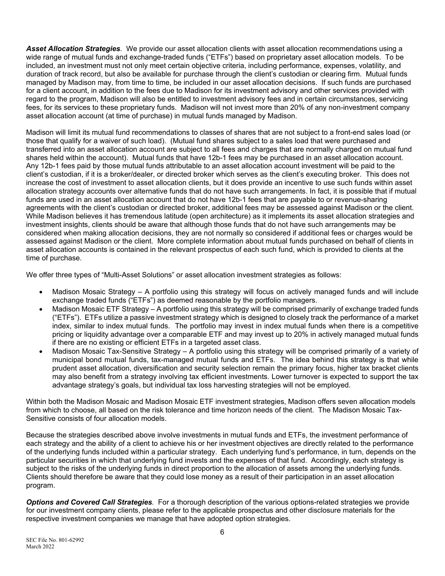*Asset Allocation Strategies.* We provide our asset allocation clients with asset allocation recommendations using a wide range of mutual funds and exchange-traded funds ("ETFs") based on proprietary asset allocation models. To be included, an investment must not only meet certain objective criteria, including performance, expenses, volatility, and duration of track record, but also be available for purchase through the client's custodian or clearing firm. Mutual funds managed by Madison may, from time to time, be included in our asset allocation decisions. If such funds are purchased for a client account, in addition to the fees due to Madison for its investment advisory and other services provided with regard to the program, Madison will also be entitled to investment advisory fees and in certain circumstances, servicing fees, for its services to these proprietary funds. Madison will not invest more than 20% of any non-investment company asset allocation account (at time of purchase) in mutual funds managed by Madison.

Madison will limit its mutual fund recommendations to classes of shares that are not subject to a front-end sales load (or those that qualify for a waiver of such load). (Mutual fund shares subject to a sales load that were purchased and transferred into an asset allocation account are subject to all fees and charges that are normally charged on mutual fund shares held within the account). Mutual funds that have 12b-1 fees may be purchased in an asset allocation account. Any 12b-1 fees paid by those mutual funds attributable to an asset allocation account investment will be paid to the client's custodian, if it is a broker/dealer, or directed broker which serves as the client's executing broker. This does not increase the cost of investment to asset allocation clients, but it does provide an incentive to use such funds within asset allocation strategy accounts over alternative funds that do not have such arrangements. In fact, it is possible that if mutual funds are used in an asset allocation account that do not have 12b-1 fees that are payable to or revenue-sharing agreements with the client's custodian or directed broker, additional fees may be assessed against Madison or the client. While Madison believes it has tremendous latitude (open architecture) as it implements its asset allocation strategies and investment insights, clients should be aware that although those funds that do not have such arrangements may be considered when making allocation decisions, they are not normally so considered if additional fees or charges would be assessed against Madison or the client. More complete information about mutual funds purchased on behalf of clients in asset allocation accounts is contained in the relevant prospectus of each such fund, which is provided to clients at the time of purchase.

We offer three types of "Multi-Asset Solutions" or asset allocation investment strategies as follows:

- Madison Mosaic Strategy A portfolio using this strategy will focus on actively managed funds and will include exchange traded funds ("ETFs") as deemed reasonable by the portfolio managers.
- Madison Mosaic ETF Strategy A portfolio using this strategy will be comprised primarily of exchange traded funds ("ETFs"). ETFs utilize a passive investment strategy which is designed to closely track the performance of a market index, similar to index mutual funds. The portfolio may invest in index mutual funds when there is a competitive pricing or liquidity advantage over a comparable ETF and may invest up to 20% in actively managed mutual funds if there are no existing or efficient ETFs in a targeted asset class.
- Madison Mosaic Tax-Sensitive Strategy A portfolio using this strategy will be comprised primarily of a variety of municipal bond mutual funds, tax-managed mutual funds and ETFs. The idea behind this strategy is that while prudent asset allocation, diversification and security selection remain the primary focus, higher tax bracket clients may also benefit from a strategy involving tax efficient investments. Lower turnover is expected to support the tax advantage strategy's goals, but individual tax loss harvesting strategies will not be employed.

Within both the Madison Mosaic and Madison Mosaic ETF investment strategies, Madison offers seven allocation models from which to choose, all based on the risk tolerance and time horizon needs of the client. The Madison Mosaic Tax-Sensitive consists of four allocation models.

Because the strategies described above involve investments in mutual funds and ETFs, the investment performance of each strategy and the ability of a client to achieve his or her investment objectives are directly related to the performance of the underlying funds included within a particular strategy. Each underlying fund's performance, in turn, depends on the particular securities in which that underlying fund invests and the expenses of that fund. Accordingly, each strategy is subject to the risks of the underlying funds in direct proportion to the allocation of assets among the underlying funds. Clients should therefore be aware that they could lose money as a result of their participation in an asset allocation program.

*Options and Covered Call Strategies.* For a thorough description of the various options-related strategies we provide for our investment company clients, please refer to the applicable prospectus and other disclosure materials for the respective investment companies we manage that have adopted option strategies.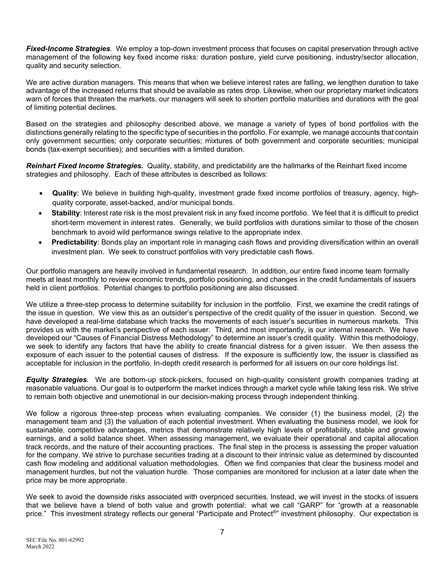*Fixed-Income Strategies.* We employ a top-down investment process that focuses on capital preservation through active management of the following key fixed income risks: duration posture, yield curve positioning, industry/sector allocation, quality and security selection.

We are active duration managers. This means that when we believe interest rates are falling, we lengthen duration to take advantage of the increased returns that should be available as rates drop. Likewise, when our proprietary market indicators warn of forces that threaten the markets, our managers will seek to shorten portfolio maturities and durations with the goal of limiting potential declines.

Based on the strategies and philosophy described above, we manage a variety of types of bond portfolios with the distinctions generally relating to the specific type of securities in the portfolio. For example, we manage accounts that contain only government securities; only corporate securities; mixtures of both government and corporate securities; municipal bonds (tax-exempt securities); and securities with a limited duration.

*Reinhart Fixed Income Strategies.* Quality, stability, and predictability are the hallmarks of the Reinhart fixed income strategies and philosophy. Each of these attributes is described as follows:

- **Quality**: We believe in building high-quality, investment grade fixed income portfolios of treasury, agency, highquality corporate, asset-backed, and/or municipal bonds.
- **Stability**: Interest rate risk is the most prevalent risk in any fixed income portfolio. We feel that it is difficult to predict short-term movement in interest rates. Generally, we build portfolios with durations similar to those of the chosen benchmark to avoid wild performance swings relative to the appropriate index.
- **Predictability**: Bonds play an important role in managing cash flows and providing diversification within an overall investment plan. We seek to construct portfolios with very predictable cash flows.

Our portfolio managers are heavily involved in fundamental research. In addition, our entire fixed income team formally meets at least monthly to review economic trends, portfolio positioning, and changes in the credit fundamentals of issuers held in client portfolios. Potential changes to portfolio positioning are also discussed.

We utilize a three-step process to determine suitability for inclusion in the portfolio. First, we examine the credit ratings of the issue in question. We view this as an outsider's perspective of the credit quality of the issuer in question. Second, we have developed a real-time database which tracks the movements of each issuer's securities in numerous markets. This provides us with the market's perspective of each issuer. Third, and most importantly, is our internal research. We have developed our "Causes of Financial Distress Methodology" to determine an issuer's credit quality. Within this methodology, we seek to identify any factors that have the ability to create financial distress for a given issuer. We then assess the exposure of each issuer to the potential causes of distress. If the exposure is sufficiently low, the issuer is classified as acceptable for inclusion in the portfolio. In-depth credit research is performed for all issuers on our core holdings list.

*Equity Strategies.* We are bottom-up stock-pickers, focused on high-quality consistent growth companies trading at reasonable valuations. Our goal is to outperform the market indices through a market cycle while taking less risk. We strive to remain both objective and unemotional in our decision-making process through independent thinking.

We follow a rigorous three-step process when evaluating companies. We consider (1) the business model, (2) the management team and (3) the valuation of each potential investment. When evaluating the business model, we look for sustainable, competitive advantages, metrics that demonstrate relatively high levels of profitability, stable and growing earnings, and a solid balance sheet. When assessing management, we evaluate their operational and capital allocation track records, and the nature of their accounting practices. The final step in the process is assessing the proper valuation for the company. We strive to purchase securities trading at a discount to their intrinsic value as determined by discounted cash flow modeling and additional valuation methodologies. Often we find companies that clear the business model and management hurdles, but not the valuation hurdle. Those companies are monitored for inclusion at a later date when the price may be more appropriate.

We seek to avoid the downside risks associated with overpriced securities. Instead, we will invest in the stocks of issuers that we believe have a blend of both value and growth potential: what we call "GARP" for "growth at a reasonable price." This investment strategy reflects our general "Participate and Protect<sup>®</sup>" investment philosophy. Our expectation is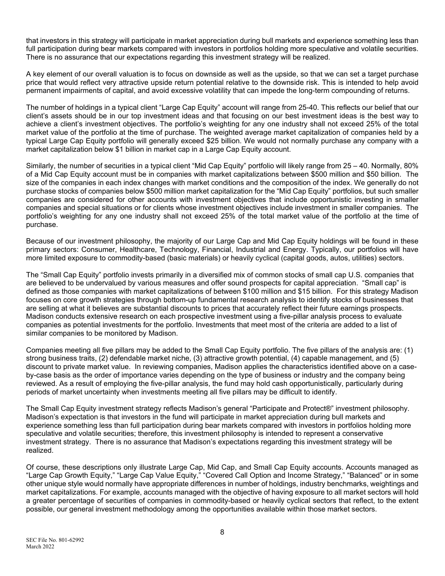that investors in this strategy will participate in market appreciation during bull markets and experience something less than full participation during bear markets compared with investors in portfolios holding more speculative and volatile securities. There is no assurance that our expectations regarding this investment strategy will be realized.

A key element of our overall valuation is to focus on downside as well as the upside, so that we can set a target purchase price that would reflect very attractive upside return potential relative to the downside risk. This is intended to help avoid permanent impairments of capital, and avoid excessive volatility that can impede the long-term compounding of returns.

The number of holdings in a typical client "Large Cap Equity" account will range from 25-40. This reflects our belief that our client's assets should be in our top investment ideas and that focusing on our best investment ideas is the best way to achieve a client's investment objectives. The portfolio's weighting for any one industry shall not exceed 25% of the total market value of the portfolio at the time of purchase. The weighted average market capitalization of companies held by a typical Large Cap Equity portfolio will generally exceed \$25 billion. We would not normally purchase any company with a market capitalization below \$1 billion in market cap in a Large Cap Equity account.

Similarly, the number of securities in a typical client "Mid Cap Equity" portfolio will likely range from 25 – 40. Normally, 80% of a Mid Cap Equity account must be in companies with market capitalizations between \$500 million and \$50 billion. The size of the companies in each index changes with market conditions and the composition of the index. We generally do not purchase stocks of companies below \$500 million market capitalization for the "Mid Cap Equity" portfolios, but such smaller companies are considered for other accounts with investment objectives that include opportunistic investing in smaller companies and special situations or for clients whose investment objectives include investment in smaller companies. The portfolio's weighting for any one industry shall not exceed 25% of the total market value of the portfolio at the time of purchase.

Because of our investment philosophy, the majority of our Large Cap and Mid Cap Equity holdings will be found in these primary sectors: Consumer, Healthcare, Technology, Financial, Industrial and Energy. Typically, our portfolios will have more limited exposure to commodity-based (basic materials) or heavily cyclical (capital goods, autos, utilities) sectors.

The "Small Cap Equity" portfolio invests primarily in a diversified mix of common stocks of small cap U.S. companies that are believed to be undervalued by various measures and offer sound prospects for capital appreciation. "Small cap" is defined as those companies with market capitalizations of between \$100 million and \$15 billion. For this strategy Madison focuses on core growth strategies through bottom-up fundamental research analysis to identify stocks of businesses that are selling at what it believes are substantial discounts to prices that accurately reflect their future earnings prospects. Madison conducts extensive research on each prospective investment using a five-pillar analysis process to evaluate companies as potential investments for the portfolio. Investments that meet most of the criteria are added to a list of similar companies to be monitored by Madison.

Companies meeting all five pillars may be added to the Small Cap Equity portfolio. The five pillars of the analysis are: (1) strong business traits, (2) defendable market niche, (3) attractive growth potential, (4) capable management, and (5) discount to private market value. In reviewing companies, Madison applies the characteristics identified above on a caseby-case basis as the order of importance varies depending on the type of business or industry and the company being reviewed. As a result of employing the five-pillar analysis, the fund may hold cash opportunistically, particularly during periods of market uncertainty when investments meeting all five pillars may be difficult to identify.

The Small Cap Equity investment strategy reflects Madison's general "Participate and Protect®" investment philosophy. Madison's expectation is that investors in the fund will participate in market appreciation during bull markets and experience something less than full participation during bear markets compared with investors in portfolios holding more speculative and volatile securities; therefore, this investment philosophy is intended to represent a conservative investment strategy. There is no assurance that Madison's expectations regarding this investment strategy will be realized.

Of course, these descriptions only illustrate Large Cap, Mid Cap, and Small Cap Equity accounts. Accounts managed as "Large Cap Growth Equity," "Large Cap Value Equity," "Covered Call Option and Income Strategy," "Balanced" or in some other unique style would normally have appropriate differences in number of holdings, industry benchmarks, weightings and market capitalizations. For example, accounts managed with the objective of having exposure to all market sectors will hold a greater percentage of securities of companies in commodity-based or heavily cyclical sectors that reflect, to the extent possible, our general investment methodology among the opportunities available within those market sectors.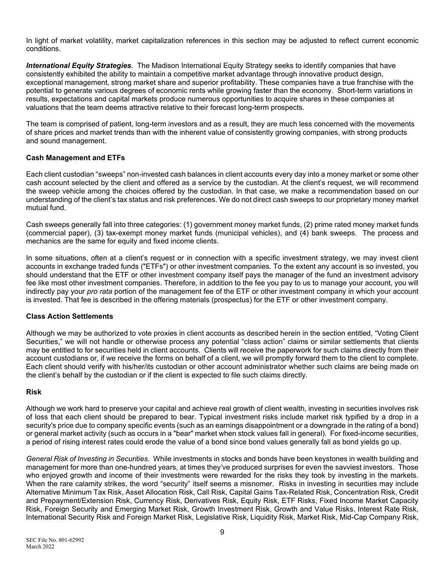In light of market volatility, market capitalization references in this section may be adjusted to reflect current economic conditions.

*International Equity Strategies*. The Madison International Equity Strategy seeks to identify companies that have consistently exhibited the ability to maintain a competitive market advantage through innovative product design, exceptional management, strong market share and superior profitability. These companies have a true franchise with the potential to generate various degrees of economic rents while growing faster than the economy. Short-term variations in results, expectations and capital markets produce numerous opportunities to acquire shares in these companies at valuations that the team deems attractive relative to their forecast long-term prospects.

The team is comprised of patient, long-term investors and as a result, they are much less concerned with the movements of share prices and market trends than with the inherent value of consistently growing companies, with strong products and sound management.

### **Cash Management and ETFs**

Each client custodian "sweeps" non-invested cash balances in client accounts every day into a money market or some other cash account selected by the client and offered as a service by the custodian. At the client's request, we will recommend the sweep vehicle among the choices offered by the custodian. In that case, we make a recommendation based on our understanding of the client's tax status and risk preferences. We do not direct cash sweeps to our proprietary money market mutual fund.

Cash sweeps generally fall into three categories: (1) government money market funds, (2) prime rated money market funds (commercial paper), (3) tax-exempt money market funds (municipal vehicles), and (4) bank sweeps. The process and mechanics are the same for equity and fixed income clients.

In some situations, often at a client's request or in connection with a specific investment strategy, we may invest client accounts in exchange traded funds ("ETFs") or other investment companies. To the extent any account is so invested, you should understand that the ETF or other investment company itself pays the manager of the fund an investment advisory fee like most other investment companies. Therefore, in addition to the fee you pay to us to manage your account, you will indirectly pay your *pro rata* portion of the management fee of the ETF or other investment company in which your account is invested. That fee is described in the offering materials (prospectus) for the ETF or other investment company.

### **Class Action Settlements**

Although we may be authorized to vote proxies in client accounts as described herein in the section entitled, "Voting Client Securities," we will not handle or otherwise process any potential "class action" claims or similar settlements that clients may be entitled to for securities held in client accounts. Clients will receive the paperwork for such claims directly from their account custodians or, if we receive the forms on behalf of a client, we will promptly forward them to the client to complete. Each client should verify with his/her/its custodian or other account administrator whether such claims are being made on the client's behalf by the custodian or if the client is expected to file such claims directly.

### **Risk**

Although we work hard to preserve your capital and achieve real growth of client wealth, investing in securities involves risk of loss that each client should be prepared to bear. Typical investment risks include market risk typified by a drop in a security's price due to company specific events (such as an earnings disappointment or a downgrade in the rating of a bond) or general market activity (such as occurs in a "bear" market when stock values fall in general). For fixed-income securities, a period of rising interest rates could erode the value of a bond since bond values generally fall as bond yields go up.

*General Risk of Investing in Securities*. While investments in stocks and bonds have been keystones in wealth building and management for more than one-hundred years, at times they've produced surprises for even the savviest investors. Those who enjoyed growth and income of their investments were rewarded for the risks they took by investing in the markets. When the rare calamity strikes, the word "security" itself seems a misnomer. Risks in investing in securities may include Alternative Minimum Tax Risk, Asset Allocation Risk, Call Risk, Capital Gains Tax-Related Risk, Concentration Risk, Credit and Prepayment/Extension Risk, Currency Risk, Derivatives Risk, Equity Risk, ETF Risks, Fixed Income Market Capacity Risk, Foreign Security and Emerging Market Risk, Growth Investment Risk, Growth and Value Risks, Interest Rate Risk, International Security Risk and Foreign Market Risk, Legislative Risk, Liquidity Risk, Market Risk, Mid-Cap Company Risk,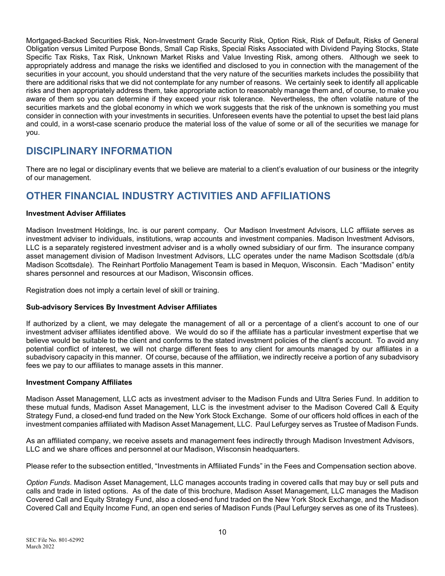Mortgaged-Backed Securities Risk, Non-Investment Grade Security Risk, Option Risk, Risk of Default, Risks of General Obligation versus Limited Purpose Bonds, Small Cap Risks, Special Risks Associated with Dividend Paying Stocks, State Specific Tax Risks, Tax Risk, Unknown Market Risks and Value Investing Risk, among others. Although we seek to appropriately address and manage the risks we identified and disclosed to you in connection with the management of the securities in your account, you should understand that the very nature of the securities markets includes the possibility that there are additional risks that we did not contemplate for any number of reasons. We certainly seek to identify all applicable risks and then appropriately address them, take appropriate action to reasonably manage them and, of course, to make you aware of them so you can determine if they exceed your risk tolerance. Nevertheless, the often volatile nature of the securities markets and the global economy in which we work suggests that the risk of the unknown is something you must consider in connection with your investments in securities. Unforeseen events have the potential to upset the best laid plans and could, in a worst-case scenario produce the material loss of the value of some or all of the securities we manage for you.

### **DISCIPLINARY INFORMATION**

There are no legal or disciplinary events that we believe are material to a client's evaluation of our business or the integrity of our management.

# **OTHER FINANCIAL INDUSTRY ACTIVITIES AND AFFILIATIONS**

### **Investment Adviser Affiliates**

Madison Investment Holdings, Inc. is our parent company. Our Madison Investment Advisors, LLC affiliate serves as investment adviser to individuals, institutions, wrap accounts and investment companies. Madison Investment Advisors, LLC is a separately registered investment adviser and is a wholly owned subsidiary of our firm. The insurance company asset management division of Madison Investment Advisors, LLC operates under the name Madison Scottsdale (d/b/a Madison Scottsdale). The Reinhart Portfolio Management Team is based in Mequon, Wisconsin. Each "Madison" entity shares personnel and resources at our Madison, Wisconsin offices.

Registration does not imply a certain level of skill or training.

### **Sub-advisory Services By Investment Adviser Affiliates**

If authorized by a client, we may delegate the management of all or a percentage of a client's account to one of our investment adviser affiliates identified above. We would do so if the affiliate has a particular investment expertise that we believe would be suitable to the client and conforms to the stated investment policies of the client's account. To avoid any potential conflict of interest, we will not charge different fees to any client for amounts managed by our affiliates in a subadvisory capacity in this manner. Of course, because of the affiliation, we indirectly receive a portion of any subadvisory fees we pay to our affiliates to manage assets in this manner.

### **Investment Company Affiliates**

Madison Asset Management, LLC acts as investment adviser to the Madison Funds and Ultra Series Fund. In addition to these mutual funds, Madison Asset Management, LLC is the investment adviser to the Madison Covered Call & Equity Strategy Fund, a closed-end fund traded on the New York Stock Exchange. Some of our officers hold offices in each of the investment companies affiliated with Madison Asset Management, LLC. Paul Lefurgey serves as Trustee of Madison Funds.

As an affiliated company, we receive assets and management fees indirectly through Madison Investment Advisors, LLC and we share offices and personnel at our Madison, Wisconsin headquarters.

Please refer to the subsection entitled, "Investments in Affiliated Funds" in the Fees and Compensation section above.

*Option Funds*. Madison Asset Management, LLC manages accounts trading in covered calls that may buy or sell puts and calls and trade in listed options. As of the date of this brochure, Madison Asset Management, LLC manages the Madison Covered Call and Equity Strategy Fund, also a closed-end fund traded on the New York Stock Exchange, and the Madison Covered Call and Equity Income Fund, an open end series of Madison Funds (Paul Lefurgey serves as one of its Trustees).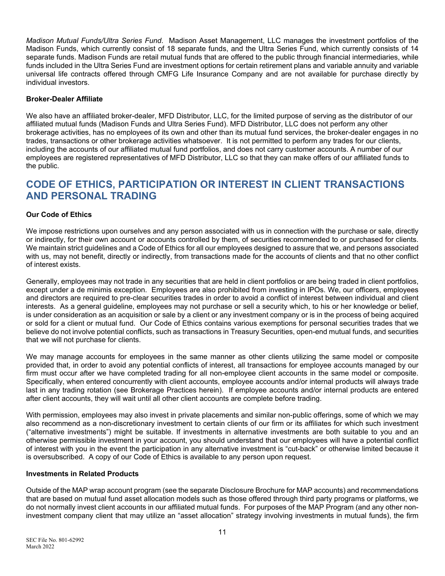*Madison Mutual Funds/Ultra Series Fund*. Madison Asset Management, LLC manages the investment portfolios of the Madison Funds, which currently consist of 18 separate funds, and the Ultra Series Fund, which currently consists of 14 separate funds. Madison Funds are retail mutual funds that are offered to the public through financial intermediaries, while funds included in the Ultra Series Fund are investment options for certain retirement plans and variable annuity and variable universal life contracts offered through CMFG Life Insurance Company and are not available for purchase directly by individual investors.

### **Broker-Dealer Affiliate**

We also have an affiliated broker-dealer, MFD Distributor, LLC, for the limited purpose of serving as the distributor of our affiliated mutual funds (Madison Funds and Ultra Series Fund). MFD Distributor, LLC does not perform any other brokerage activities, has no employees of its own and other than its mutual fund services, the broker-dealer engages in no trades, transactions or other brokerage activities whatsoever. It is not permitted to perform any trades for our clients, including the accounts of our affiliated mutual fund portfolios, and does not carry customer accounts. A number of our employees are registered representatives of MFD Distributor, LLC so that they can make offers of our affiliated funds to the public.

### **CODE OF ETHICS, PARTICIPATION OR INTEREST IN CLIENT TRANSACTIONS AND PERSONAL TRADING**

### **Our Code of Ethics**

We impose restrictions upon ourselves and any person associated with us in connection with the purchase or sale, directly or indirectly, for their own account or accounts controlled by them, of securities recommended to or purchased for clients. We maintain strict guidelines and a Code of Ethics for all our employees designed to assure that we, and persons associated with us, may not benefit, directly or indirectly, from transactions made for the accounts of clients and that no other conflict of interest exists.

Generally, employees may not trade in any securities that are held in client portfolios or are being traded in client portfolios, except under a de minimis exception. Employees are also prohibited from investing in IPOs. We, our officers, employees and directors are required to pre-clear securities trades in order to avoid a conflict of interest between individual and client interests. As a general guideline, employees may not purchase or sell a security which, to his or her knowledge or belief, is under consideration as an acquisition or sale by a client or any investment company or is in the process of being acquired or sold for a client or mutual fund. Our Code of Ethics contains various exemptions for personal securities trades that we believe do not involve potential conflicts, such as transactions in Treasury Securities, open-end mutual funds, and securities that we will not purchase for clients.

We may manage accounts for employees in the same manner as other clients utilizing the same model or composite provided that, in order to avoid any potential conflicts of interest, all transactions for employee accounts managed by our firm must occur after we have completed trading for all non-employee client accounts in the same model or composite. Specifically, when entered concurrently with client accounts, employee accounts and/or internal products will always trade last in any trading rotation (see Brokerage Practices herein). If employee accounts and/or internal products are entered after client accounts, they will wait until all other client accounts are complete before trading.

With permission, employees may also invest in private placements and similar non-public offerings, some of which we may also recommend as a non-discretionary investment to certain clients of our firm or its affiliates for which such investment ("alternative investments") might be suitable. If investments in alternative investments are both suitable to you and an otherwise permissible investment in your account, you should understand that our employees will have a potential conflict of interest with you in the event the participation in any alternative investment is "cut-back" or otherwise limited because it is oversubscribed. A copy of our Code of Ethics is available to any person upon request.

#### **Investments in Related Products**

Outside of the MAP wrap account program (see the separate Disclosure Brochure for MAP accounts) and recommendations that are based on mutual fund asset allocation models such as those offered through third party programs or platforms, we do not normally invest client accounts in our affiliated mutual funds. For purposes of the MAP Program (and any other noninvestment company client that may utilize an "asset allocation" strategy involving investments in mutual funds), the firm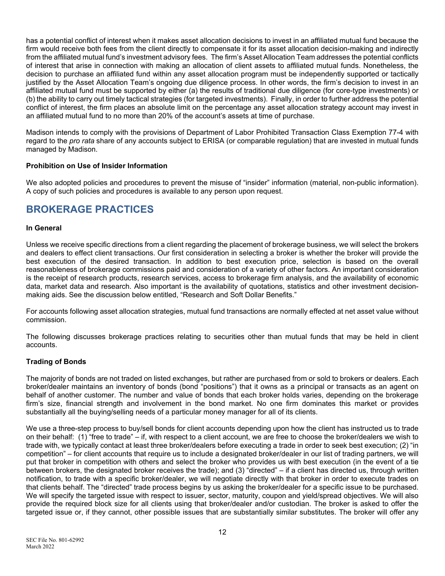has a potential conflict of interest when it makes asset allocation decisions to invest in an affiliated mutual fund because the firm would receive both fees from the client directly to compensate it for its asset allocation decision-making and indirectly from the affiliated mutual fund's investment advisory fees. The firm's Asset Allocation Team addresses the potential conflicts of interest that arise in connection with making an allocation of client assets to affiliated mutual funds. Nonetheless, the decision to purchase an affiliated fund within any asset allocation program must be independently supported or tactically justified by the Asset Allocation Team's ongoing due diligence process. In other words, the firm's decision to invest in an affiliated mutual fund must be supported by either (a) the results of traditional due diligence (for core-type investments) or (b) the ability to carry out timely tactical strategies (for targeted investments). Finally, in order to further address the potential conflict of interest, the firm places an absolute limit on the percentage any asset allocation strategy account may invest in an affiliated mutual fund to no more than 20% of the account's assets at time of purchase.

Madison intends to comply with the provisions of Department of Labor Prohibited Transaction Class Exemption 77-4 with regard to the *pro rata* share of any accounts subject to ERISA (or comparable regulation) that are invested in mutual funds managed by Madison.

### **Prohibition on Use of Insider Information**

We also adopted policies and procedures to prevent the misuse of "insider" information (material, non-public information). A copy of such policies and procedures is available to any person upon request.

### **BROKERAGE PRACTICES**

### **In General**

Unless we receive specific directions from a client regarding the placement of brokerage business, we will select the brokers and dealers to effect client transactions. Our first consideration in selecting a broker is whether the broker will provide the best execution of the desired transaction. In addition to best execution price, selection is based on the overall reasonableness of brokerage commissions paid and consideration of a variety of other factors. An important consideration is the receipt of research products, research services, access to brokerage firm analysis, and the availability of economic data, market data and research. Also important is the availability of quotations, statistics and other investment decisionmaking aids. See the discussion below entitled, "Research and Soft Dollar Benefits."

For accounts following asset allocation strategies, mutual fund transactions are normally effected at net asset value without commission.

The following discusses brokerage practices relating to securities other than mutual funds that may be held in client accounts.

### **Trading of Bonds**

The majority of bonds are not traded on listed exchanges, but rather are purchased from or sold to brokers or dealers. Each broker/dealer maintains an inventory of bonds (bond "positions") that it owns as a principal or transacts as an agent on behalf of another customer. The number and value of bonds that each broker holds varies, depending on the brokerage firm's size, financial strength and involvement in the bond market. No one firm dominates this market or provides substantially all the buying/selling needs of a particular money manager for all of its clients.

We use a three-step process to buy/sell bonds for client accounts depending upon how the client has instructed us to trade on their behalf: (1) "free to trade" – if, with respect to a client account, we are free to choose the broker/dealers we wish to trade with, we typically contact at least three broker/dealers before executing a trade in order to seek best execution; (2) "in competition" – for client accounts that require us to include a designated broker/dealer in our list of trading partners, we will put that broker in competition with others and select the broker who provides us with best execution (in the event of a tie between brokers, the designated broker receives the trade); and (3) "directed" – if a client has directed us, through written notification, to trade with a specific broker/dealer, we will negotiate directly with that broker in order to execute trades on that clients behalf. The "directed" trade process begins by us asking the broker/dealer for a specific issue to be purchased. We will specify the targeted issue with respect to issuer, sector, maturity, coupon and yield/spread objectives. We will also provide the required block size for all clients using that broker/dealer and/or custodian. The broker is asked to offer the targeted issue or, if they cannot, other possible issues that are substantially similar substitutes. The broker will offer any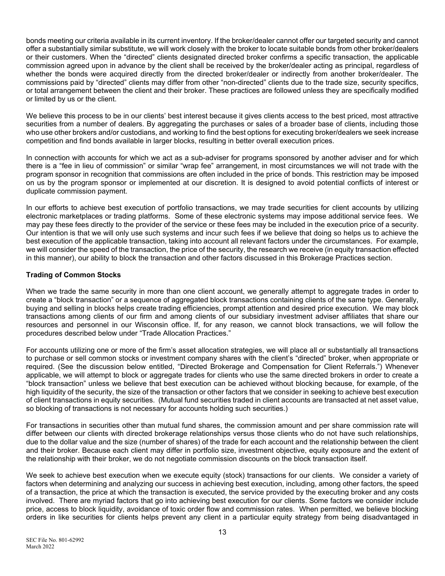bonds meeting our criteria available in its current inventory. If the broker/dealer cannot offer our targeted security and cannot offer a substantially similar substitute, we will work closely with the broker to locate suitable bonds from other broker/dealers or their customers. When the "directed" clients designated directed broker confirms a specific transaction, the applicable commission agreed upon in advance by the client shall be received by the broker/dealer acting as principal, regardless of whether the bonds were acquired directly from the directed broker/dealer or indirectly from another broker/dealer. The commissions paid by "directed" clients may differ from other "non-directed" clients due to the trade size, security specifics, or total arrangement between the client and their broker. These practices are followed unless they are specifically modified or limited by us or the client.

We believe this process to be in our clients' best interest because it gives clients access to the best priced, most attractive securities from a number of dealers. By aggregating the purchases or sales of a broader base of clients, including those who use other brokers and/or custodians, and working to find the best options for executing broker/dealers we seek increase competition and find bonds available in larger blocks, resulting in better overall execution prices.

In connection with accounts for which we act as a sub-adviser for programs sponsored by another adviser and for which there is a "fee in lieu of commission" or similar "wrap fee" arrangement, in most circumstances we will not trade with the program sponsor in recognition that commissions are often included in the price of bonds. This restriction may be imposed on us by the program sponsor or implemented at our discretion. It is designed to avoid potential conflicts of interest or duplicate commission payment.

In our efforts to achieve best execution of portfolio transactions, we may trade securities for client accounts by utilizing electronic marketplaces or trading platforms. Some of these electronic systems may impose additional service fees. We may pay these fees directly to the provider of the service or these fees may be included in the execution price of a security. Our intention is that we will only use such systems and incur such fees if we believe that doing so helps us to achieve the best execution of the applicable transaction, taking into account all relevant factors under the circumstances. For example, we will consider the speed of the transaction, the price of the security, the research we receive (in equity transaction effected in this manner), our ability to block the transaction and other factors discussed in this Brokerage Practices section.

### **Trading of Common Stocks**

When we trade the same security in more than one client account, we generally attempt to aggregate trades in order to create a "block transaction" or a sequence of aggregated block transactions containing clients of the same type. Generally, buying and selling in blocks helps create trading efficiencies, prompt attention and desired price execution. We may block transactions among clients of our firm and among clients of our subsidiary investment adviser affiliates that share our resources and personnel in our Wisconsin office. If, for any reason, we cannot block transactions, we will follow the procedures described below under "Trade Allocation Practices."

For accounts utilizing one or more of the firm's asset allocation strategies, we will place all or substantially all transactions to purchase or sell common stocks or investment company shares with the client's "directed" broker, when appropriate or required. (See the discussion below entitled, "Directed Brokerage and Compensation for Client Referrals.") Whenever applicable, we will attempt to block or aggregate trades for clients who use the same directed brokers in order to create a "block transaction" unless we believe that best execution can be achieved without blocking because, for example, of the high liquidity of the security, the size of the transaction or other factors that we consider in seeking to achieve best execution of client transactions in equity securities. (Mutual fund securities traded in client accounts are transacted at net asset value, so blocking of transactions is not necessary for accounts holding such securities.)

For transactions in securities other than mutual fund shares, the commission amount and per share commission rate will differ between our clients with directed brokerage relationships versus those clients who do not have such relationships, due to the dollar value and the size (number of shares) of the trade for each account and the relationship between the client and their broker. Because each client may differ in portfolio size, investment objective, equity exposure and the extent of the relationship with their broker, we do not negotiate commission discounts on the block transaction itself.

We seek to achieve best execution when we execute equity (stock) transactions for our clients. We consider a variety of factors when determining and analyzing our success in achieving best execution, including, among other factors, the speed of a transaction, the price at which the transaction is executed, the service provided by the executing broker and any costs involved. There are myriad factors that go into achieving best execution for our clients. Some factors we consider include price, access to block liquidity, avoidance of toxic order flow and commission rates. When permitted, we believe blocking orders in like securities for clients helps prevent any client in a particular equity strategy from being disadvantaged in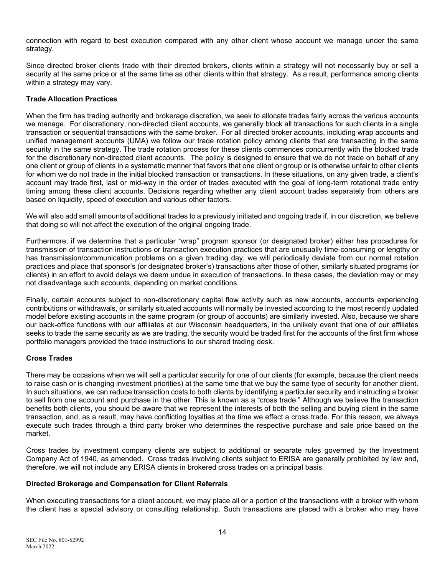connection with regard to best execution compared with any other client whose account we manage under the same strategy.

Since directed broker clients trade with their directed brokers, clients within a strategy will not necessarily buy or sell a security at the same price or at the same time as other clients within that strategy. As a result, performance among clients within a strategy may vary.

### **Trade Allocation Practices**

When the firm has trading authority and brokerage discretion, we seek to allocate trades fairly across the various accounts we manage. For discretionary, non-directed client accounts, we generally block all transactions for such clients in a single transaction or sequential transactions with the same broker. For all directed broker accounts, including wrap accounts and unified management accounts (UMA) we follow our trade rotation policy among clients that are transacting in the same security in the same strategy. The trade rotation process for these clients commences concurrently with the blocked trade for the discretionary non-directed client accounts. The policy is designed to ensure that we do not trade on behalf of any one client or group of clients in a systematic manner that favors that one client or group or is otherwise unfair to other clients for whom we do not trade in the initial blocked transaction or transactions. In these situations, on any given trade, a client's account may trade first, last or mid-way in the order of trades executed with the goal of long-term rotational trade entry timing among these client accounts. Decisions regarding whether any client account trades separately from others are based on liquidity, speed of execution and various other factors.

We will also add small amounts of additional trades to a previously initiated and ongoing trade if, in our discretion, we believe that doing so will not affect the execution of the original ongoing trade.

Furthermore, if we determine that a particular "wrap" program sponsor (or designated broker) either has procedures for transmission of transaction instructions or transaction execution practices that are unusually time-consuming or lengthy or has transmission/communication problems on a given trading day, we will periodically deviate from our normal rotation practices and place that sponsor's (or designated broker's) transactions after those of other, similarly situated programs (or clients) in an effort to avoid delays we deem undue in execution of transactions. In these cases, the deviation may or may not disadvantage such accounts, depending on market conditions.

Finally, certain accounts subject to non-discretionary capital flow activity such as new accounts, accounts experiencing contributions or withdrawals, or similarly situated accounts will normally be invested according to the most recently updated model before existing accounts in the same program (or group of accounts) are similarly invested. Also, because we share our back-office functions with our affiliates at our Wisconsin headquarters, in the unlikely event that one of our affiliates seeks to trade the same security as we are trading, the security would be traded first for the accounts of the first firm whose portfolio managers provided the trade instructions to our shared trading desk.

### **Cross Trades**

There may be occasions when we will sell a particular security for one of our clients (for example, because the client needs to raise cash or is changing investment priorities) at the same time that we buy the same type of security for another client. In such situations, we can reduce transaction costs to both clients by identifying a particular security and instructing a broker to sell from one account and purchase in the other. This is known as a "cross trade." Although we believe the transaction benefits both clients, you should be aware that we represent the interests of both the selling and buying client in the same transaction, and, as a result, may have conflicting loyalties at the time we effect a cross trade. For this reason, we always execute such trades through a third party broker who determines the respective purchase and sale price based on the market.

Cross trades by investment company clients are subject to additional or separate rules governed by the Investment Company Act of 1940, as amended. Cross trades involving clients subject to ERISA are generally prohibited by law and, therefore, we will not include any ERISA clients in brokered cross trades on a principal basis.

#### **Directed Brokerage and Compensation for Client Referrals**

When executing transactions for a client account, we may place all or a portion of the transactions with a broker with whom the client has a special advisory or consulting relationship. Such transactions are placed with a broker who may have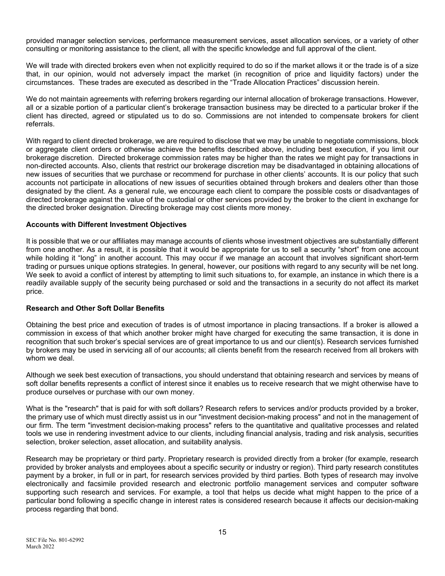provided manager selection services, performance measurement services, asset allocation services, or a variety of other consulting or monitoring assistance to the client, all with the specific knowledge and full approval of the client.

We will trade with directed brokers even when not explicitly required to do so if the market allows it or the trade is of a size that, in our opinion, would not adversely impact the market (in recognition of price and liquidity factors) under the circumstances. These trades are executed as described in the "Trade Allocation Practices" discussion herein.

We do not maintain agreements with referring brokers regarding our internal allocation of brokerage transactions. However, all or a sizable portion of a particular client's brokerage transaction business may be directed to a particular broker if the client has directed, agreed or stipulated us to do so. Commissions are not intended to compensate brokers for client referrals.

With regard to client directed brokerage, we are required to disclose that we may be unable to negotiate commissions, block or aggregate client orders or otherwise achieve the benefits described above, including best execution, if you limit our brokerage discretion. Directed brokerage commission rates may be higher than the rates we might pay for transactions in non-directed accounts. Also, clients that restrict our brokerage discretion may be disadvantaged in obtaining allocations of new issues of securities that we purchase or recommend for purchase in other clients' accounts. It is our policy that such accounts not participate in allocations of new issues of securities obtained through brokers and dealers other than those designated by the client. As a general rule, we encourage each client to compare the possible costs or disadvantages of directed brokerage against the value of the custodial or other services provided by the broker to the client in exchange for the directed broker designation. Directing brokerage may cost clients more money.

### **Accounts with Different Investment Objectives**

It is possible that we or our affiliates may manage accounts of clients whose investment objectives are substantially different from one another. As a result, it is possible that it would be appropriate for us to sell a security "short" from one account while holding it "long" in another account. This may occur if we manage an account that involves significant short-term trading or pursues unique options strategies. In general, however, our positions with regard to any security will be net long. We seek to avoid a conflict of interest by attempting to limit such situations to, for example, an instance in which there is a readily available supply of the security being purchased or sold and the transactions in a security do not affect its market price.

### **Research and Other Soft Dollar Benefits**

Obtaining the best price and execution of trades is of utmost importance in placing transactions. If a broker is allowed a commission in excess of that which another broker might have charged for executing the same transaction, it is done in recognition that such broker's special services are of great importance to us and our client(s). Research services furnished by brokers may be used in servicing all of our accounts; all clients benefit from the research received from all brokers with whom we deal.

Although we seek best execution of transactions, you should understand that obtaining research and services by means of soft dollar benefits represents a conflict of interest since it enables us to receive research that we might otherwise have to produce ourselves or purchase with our own money.

What is the "research" that is paid for with soft dollars? Research refers to services and/or products provided by a broker, the primary use of which must directly assist us in our "investment decision-making process" and not in the management of our firm. The term "investment decision-making process" refers to the quantitative and qualitative processes and related tools we use in rendering investment advice to our clients, including financial analysis, trading and risk analysis, securities selection, broker selection, asset allocation, and suitability analysis.

Research may be proprietary or third party. Proprietary research is provided directly from a broker (for example, research provided by broker analysts and employees about a specific security or industry or region). Third party research constitutes payment by a broker, in full or in part, for research services provided by third parties. Both types of research may involve electronically and facsimile provided research and electronic portfolio management services and computer software supporting such research and services. For example, a tool that helps us decide what might happen to the price of a particular bond following a specific change in interest rates is considered research because it affects our decision-making process regarding that bond.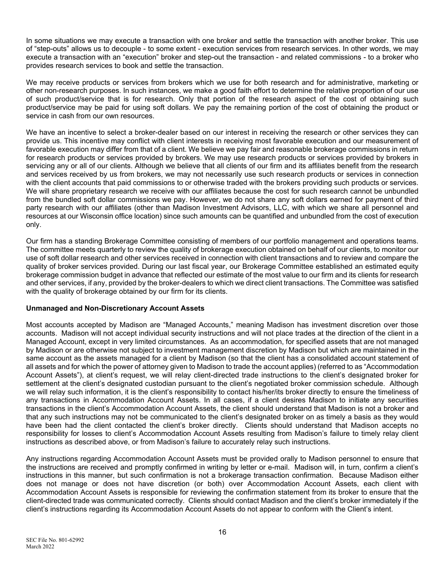In some situations we may execute a transaction with one broker and settle the transaction with another broker. This use of "step-outs" allows us to decouple - to some extent - execution services from research services. In other words, we may execute a transaction with an "execution" broker and step-out the transaction - and related commissions - to a broker who provides research services to book and settle the transaction.

We may receive products or services from brokers which we use for both research and for administrative, marketing or other non-research purposes. In such instances, we make a good faith effort to determine the relative proportion of our use of such product/service that is for research. Only that portion of the research aspect of the cost of obtaining such product/service may be paid for using soft dollars. We pay the remaining portion of the cost of obtaining the product or service in cash from our own resources.

We have an incentive to select a broker-dealer based on our interest in receiving the research or other services they can provide us. This incentive may conflict with client interests in receiving most favorable execution and our measurement of favorable execution may differ from that of a client. We believe we pay fair and reasonable brokerage commissions in return for research products or services provided by brokers. We may use research products or services provided by brokers in servicing any or all of our clients. Although we believe that all clients of our firm and its affiliates benefit from the research and services received by us from brokers, we may not necessarily use such research products or services in connection with the client accounts that paid commissions to or otherwise traded with the brokers providing such products or services. We will share proprietary research we receive with our affiliates because the cost for such research cannot be unbundled from the bundled soft dollar commissions we pay. However, we do not share any soft dollars earned for payment of third party research with our affiliates (other than Madison Investment Advisors, LLC, with which we share all personnel and resources at our Wisconsin office location) since such amounts can be quantified and unbundled from the cost of execution only.

Our firm has a standing Brokerage Committee consisting of members of our portfolio management and operations teams. The committee meets quarterly to review the quality of brokerage execution obtained on behalf of our clients, to monitor our use of soft dollar research and other services received in connection with client transactions and to review and compare the quality of broker services provided. During our last fiscal year, our Brokerage Committee established an estimated equity brokerage commission budget in advance that reflected our estimate of the most value to our firm and its clients for research and other services, if any, provided by the broker-dealers to which we direct client transactions. The Committee was satisfied with the quality of brokerage obtained by our firm for its clients.

### **Unmanaged and Non-Discretionary Account Assets**

Most accounts accepted by Madison are "Managed Accounts," meaning Madison has investment discretion over those accounts. Madison will not accept individual security instructions and will not place trades at the direction of the client in a Managed Account, except in very limited circumstances. As an accommodation, for specified assets that are not managed by Madison or are otherwise not subject to investment management discretion by Madison but which are maintained in the same account as the assets managed for a client by Madison (so that the client has a consolidated account statement of all assets and for which the power of attorney given to Madison to trade the account applies) (referred to as "Accommodation Account Assets"), at client's request, we will relay client-directed trade instructions to the client's designated broker for settlement at the client's designated custodian pursuant to the client's negotiated broker commission schedule. Although we will relay such information, it is the client's responsibility to contact his/her/its broker directly to ensure the timeliness of any transactions in Accommodation Account Assets. In all cases, if a client desires Madison to initiate any securities transactions in the client's Accommodation Account Assets, the client should understand that Madison is not a broker and that any such instructions may not be communicated to the client's designated broker on as timely a basis as they would have been had the client contacted the client's broker directly. Clients should understand that Madison accepts no responsibility for losses to client's Accommodation Account Assets resulting from Madison's failure to timely relay client instructions as described above, or from Madison's failure to accurately relay such instructions.

Any instructions regarding Accommodation Account Assets must be provided orally to Madison personnel to ensure that the instructions are received and promptly confirmed in writing by letter or e-mail. Madison will, in turn, confirm a client's instructions in this manner, but such confirmation is not a brokerage transaction confirmation. Because Madison either does not manage or does not have discretion (or both) over Accommodation Account Assets, each client with Accommodation Account Assets is responsible for reviewing the confirmation statement from its broker to ensure that the client-directed trade was communicated correctly. Clients should contact Madison and the client's broker immediately if the client's instructions regarding its Accommodation Account Assets do not appear to conform with the Client's intent.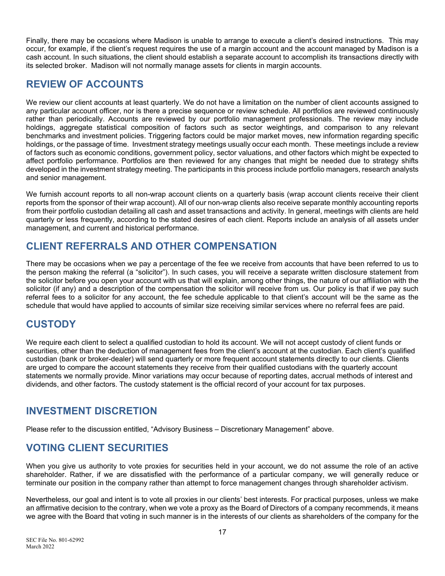Finally, there may be occasions where Madison is unable to arrange to execute a client's desired instructions. This may occur, for example, if the client's request requires the use of a margin account and the account managed by Madison is a cash account. In such situations, the client should establish a separate account to accomplish its transactions directly with its selected broker. Madison will not normally manage assets for clients in margin accounts.

### **REVIEW OF ACCOUNTS**

We review our client accounts at least quarterly. We do not have a limitation on the number of client accounts assigned to any particular account officer, nor is there a precise sequence or review schedule. All portfolios are reviewed continuously rather than periodically. Accounts are reviewed by our portfolio management professionals. The review may include holdings, aggregate statistical composition of factors such as sector weightings, and comparison to any relevant benchmarks and investment policies. Triggering factors could be major market moves, new information regarding specific holdings, or the passage of time. Investment strategy meetings usually occur each month. These meetings include a review of factors such as economic conditions, government policy, sector valuations, and other factors which might be expected to affect portfolio performance. Portfolios are then reviewed for any changes that might be needed due to strategy shifts developed in the investment strategy meeting. The participants in this process include portfolio managers, research analysts and senior management.

We furnish account reports to all non-wrap account clients on a quarterly basis (wrap account clients receive their client reports from the sponsor of their wrap account). All of our non-wrap clients also receive separate monthly accounting reports from their portfolio custodian detailing all cash and asset transactions and activity. In general, meetings with clients are held quarterly or less frequently, according to the stated desires of each client. Reports include an analysis of all assets under management, and current and historical performance.

## **CLIENT REFERRALS AND OTHER COMPENSATION**

There may be occasions when we pay a percentage of the fee we receive from accounts that have been referred to us to the person making the referral (a "solicitor"). In such cases, you will receive a separate written disclosure statement from the solicitor before you open your account with us that will explain, among other things, the nature of our affiliation with the solicitor (if any) and a description of the compensation the solicitor will receive from us. Our policy is that if we pay such referral fees to a solicitor for any account, the fee schedule applicable to that client's account will be the same as the schedule that would have applied to accounts of similar size receiving similar services where no referral fees are paid.

### **CUSTODY**

We require each client to select a qualified custodian to hold its account. We will not accept custody of client funds or securities, other than the deduction of management fees from the client's account at the custodian. Each client's qualified custodian (bank or broker-dealer) will send quarterly or more frequent account statements directly to our clients. Clients are urged to compare the account statements they receive from their qualified custodians with the quarterly account statements we normally provide. Minor variations may occur because of reporting dates, accrual methods of interest and dividends, and other factors. The custody statement is the official record of your account for tax purposes.

## **INVESTMENT DISCRETION**

Please refer to the discussion entitled, "Advisory Business – Discretionary Management" above.

## **VOTING CLIENT SECURITIES**

When you give us authority to vote proxies for securities held in your account, we do not assume the role of an active shareholder. Rather, if we are dissatisfied with the performance of a particular company, we will generally reduce or terminate our position in the company rather than attempt to force management changes through shareholder activism.

Nevertheless, our goal and intent is to vote all proxies in our clients' best interests. For practical purposes, unless we make an affirmative decision to the contrary, when we vote a proxy as the Board of Directors of a company recommends, it means we agree with the Board that voting in such manner is in the interests of our clients as shareholders of the company for the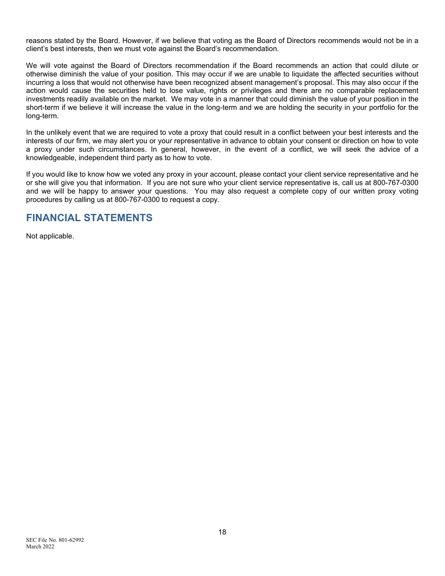reasons stated by the Board. However, if we believe that voting as the Board of Directors recommends would not be in a client's best interests, then we must vote against the Board's recommendation.

We will vote against the Board of Directors recommendation if the Board recommends an action that could dilute or otherwise diminish the value of your position. This may occur if we are unable to liquidate the affected securities without incurring a loss that would not otherwise have been recognized absent management's proposal. This may also occur if the action would cause the securities held to lose value, rights or privileges and there are no comparable replacement investments readily available on the market. We may vote in a manner that could diminish the value of your position in the short-term if we believe it will increase the value in the long-term and we are holding the security in your portfolio for the long-term.

In the unlikely event that we are required to vote a proxy that could result in a conflict between your best interests and the interests of our firm, we may alert you or your representative in advance to obtain your consent or direction on how to vote a proxy under such circumstances. In general, however, in the event of a conflict, we will seek the advice of a knowledgeable, independent third party as to how to vote.

If you would like to know how we voted any proxy in your account, please contact your client service representative and he or she will give you that information. If you are not sure who your client service representative is, call us at 800-767-0300 and we will be happy to answer your questions. You may also request a complete copy of our written proxy voting procedures by calling us at 800-767-0300 to request a copy.

### **FINANCIAL STATEMENTS**

Not applicable.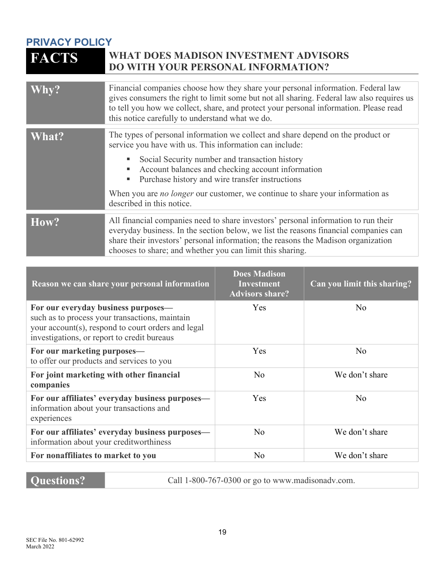# **PRIVACY POLICY WHAT DOES MADISON INVESTMENT ADVISORS DO WITH YOUR PERSONAL INFORMATION?**

| Why?                      | Financial companies choose how they share your personal information. Federal law<br>gives consumers the right to limit some but not all sharing. Federal law also requires us<br>to tell you how we collect, share, and protect your personal information. Please read<br>this notice carefully to understand what we do.                                                                                                           |
|---------------------------|-------------------------------------------------------------------------------------------------------------------------------------------------------------------------------------------------------------------------------------------------------------------------------------------------------------------------------------------------------------------------------------------------------------------------------------|
| $\overline{\text{What?}}$ | The types of personal information we collect and share depend on the product or<br>service you have with us. This information can include:<br>Social Security number and transaction history<br>Account balances and checking account information<br>٠<br>Purchase history and wire transfer instructions<br>ш<br>When you are <i>no longer</i> our customer, we continue to share your information as<br>described in this notice. |
| How?                      | All financial companies need to share investors' personal information to run their<br>everyday business. In the section below, we list the reasons financial companies can<br>share their investors' personal information; the reasons the Madison organization<br>chooses to share; and whether you can limit this sharing.                                                                                                        |

| Reason we can share your personal information                                                                                                                                              | <b>Does Madison</b><br><b>Investment</b><br><b>Advisors share?</b> | Can you limit this sharing? |
|--------------------------------------------------------------------------------------------------------------------------------------------------------------------------------------------|--------------------------------------------------------------------|-----------------------------|
| For our everyday business purposes—<br>such as to process your transactions, maintain<br>your account(s), respond to court orders and legal<br>investigations, or report to credit bureaus | Yes                                                                | No                          |
| For our marketing purposes—<br>to offer our products and services to you                                                                                                                   | Yes                                                                | N <sub>o</sub>              |
| For joint marketing with other financial<br>companies                                                                                                                                      | No                                                                 | We don't share              |
| For our affiliates' everyday business purposes—<br>information about your transactions and<br>experiences                                                                                  | Yes                                                                | No                          |
| For our affiliates' everyday business purposes—<br>information about your creditworthiness                                                                                                 | N <sub>o</sub>                                                     | We don't share              |
| For nonaffiliates to market to you                                                                                                                                                         | No                                                                 | We don't share              |

**Questions?** Call 1-800-767-0300 or go to www.madisonadv.com.